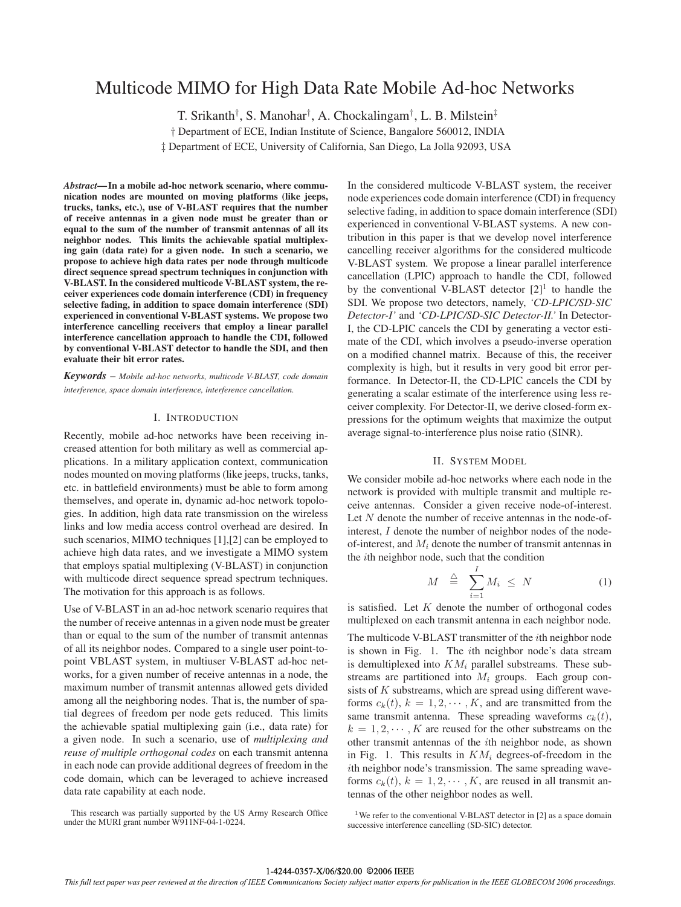# Multicode MIMO for High Data Rate Mobile Ad-hoc Networks

T. Srikanth† , S. Manohar† , A. Chockalingam† , L. B. Milstein‡

† Department of ECE, Indian Institute of Science, Bangalore 560012, INDIA

‡ Department of ECE, University of California, San Diego, La Jolla 92093, USA

*Abstract***— In a mobile ad-hoc network scenario, where communication nodes are mounted on moving platforms (like jeeps, trucks, tanks, etc.), use of V-BLAST requires that the number of receive antennas in a given node must be greater than or equal to the sum of the number of transmit antennas of all its neighbor nodes. This limits the achievable spatial multiplexing gain (data rate) for a given node. In such a scenario, we propose to achieve high data rates per node through multicode direct sequence spread spectrum techniques in conjunction with V-BLAST. In the considered multicode V-BLAST system, the receiver experiences code domain interference (CDI) in frequency selective fading, in addition to space domain interference (SDI) experienced in conventional V-BLAST systems. We propose two interference cancelling receivers that employ a linear parallel interference cancellation approach to handle the CDI, followed by conventional V-BLAST detector to handle the SDI, and then evaluate their bit error rates.**

*Keywords* – *Mobile ad-hoc networks, multicode V-BLAST, code domain interference, space domain interference, interference cancellation.*

## I. INTRODUCTION

Recently, mobile ad-hoc networks have been receiving increased attention for both military as well as commercial applications. In a military application context, communication nodes mounted on moving platforms (like jeeps, trucks, tanks, etc. in battlefield environments) must be able to form among themselves, and operate in, dynamic ad-hoc network topologies. In addition, high data rate transmission on the wireless links and low media access control overhead are desired. In such scenarios, MIMO techniques [1], [2] can be employed to achieve high data rates, and we investigate a MIMO system that employs spatial multiplexing (V-BLAST) in conjunction with multicode direct sequence spread spectrum techniques. The motivation for this approach is as follows.

Use of V-BLAST in an ad-hoc network scenario requires that the number of receive antennas in a given node must be greater than or equal to the sum of the number of transmit antennas of all its neighbor nodes. Compared to a single user point-topoint VBLAST system, in multiuser V-BLAST ad-hoc networks, for a given number of receive antennas in a node, the maximum number of transmit antennas allowed gets divided among all the neighboring nodes. That is, the number of spatial degrees of freedom per node gets reduced. This limits the achievable spatial multiplexing gain (i.e., data rate) for a given node. In such a scenario, use of *multiplexing and reuse of multiple orthogonal codes* on each transmit antenna in each node can provide additional degrees of freedom in the code domain, which can be leveraged to achieve increased data rate capability at each node.

This research was partially supported by the US Army Research Office under the MURI grant number W911NF-04-1-0224.

In the considered multicode V-BLAST system, the receiver node experiences code domain interference (CDI) in frequency selective fading, in addition to space domain interference (SDI) experienced in conventional V-BLAST systems. A new contribution in this paper is that we develop novel interference cancelling receiver algorithms for the considered multicode V-BLAST system. We propose a linear parallel interference cancellation (LPIC) approach to handle the CDI, followed by the conventional V-BLAST detector  $[2]$ <sup>1</sup> to handle the SDI. We propose two detectors, namely, *'CD-LPIC/SD-SIC Detector-I'* and *'CD-LPIC/SD-SIC Detector-II.'* In Detector-I, the CD-LPIC cancels the CDI by generating a vector estimate of the CDI, which involves a pseudo-inverse operation on a modified channel matrix. Because of this, the receiver complexity is high, but it results in very good bit error performance. In Detector-II, the CD-LPIC cancels the CDI by generating a scalar estimate of the interference using less receiver complexity. For Detector-II, we derive closed-form expressions for the optimum weights that maximize the output average signal-to-interference plus noise ratio (SINR).

# II. SYSTEM MODEL

We consider mobile ad-hoc networks where each node in the network is provided with multiple transmit and multiple receive antennas. Consider a given receive node-of-interest. Let  $N$  denote the number of receive antennas in the node-ofinterest, I denote the number of neighbor nodes of the nodeof-interest, and  $M_i$  denote the number of transmit antennas in the ith neighbor node, such that the condition

$$
M \triangleq \sum_{i=1}^{I} M_i \leq N \tag{1}
$$

is satisfied. Let  $K$  denote the number of orthogonal codes multiplexed on each transmit antenna in each neighbor node.

The multicode V-BLAST transmitter of the ith neighbor node is shown in Fig. 1. The ith neighbor node's data stream is demultiplexed into  $KM_i$  parallel substreams. These substreams are partitioned into  $M_i$  groups. Each group consists of  $K$  substreams, which are spread using different waveforms  $c_k(t)$ ,  $k = 1, 2, \dots, K$ , and are transmitted from the same transmit antenna. These spreading waveforms  $c_k(t)$ ,  $k = 1, 2, \dots, K$  are reused for the other substreams on the other transmit antennas of the ith neighbor node, as shown in Fig. 1. This results in  $KM_i$  degrees-of-freedom in the ith neighbor node's transmission. The same spreading waveforms  $c_k(t)$ ,  $k = 1, 2, \dots, K$ , are reused in all transmit antennas of the other neighbor nodes as well.

<sup>1</sup>We refer to the conventional V-BLAST detector in [2] as a space domain successive interference cancelling (SD-SIC) detector.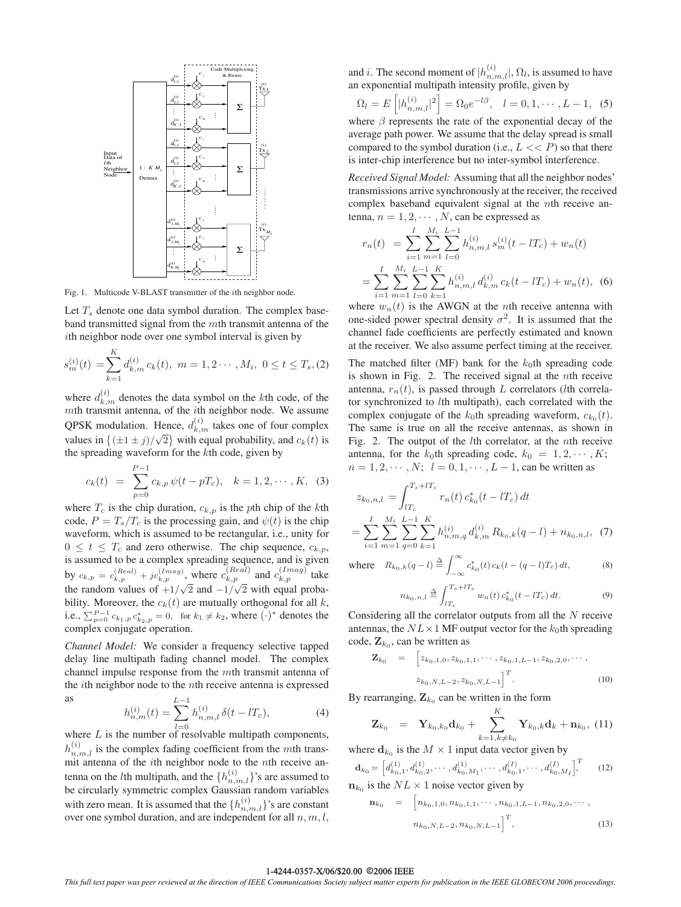

Fig. 1. Multicode V-BLAST transmitter of the *i*th neighbor node.

Let  $T<sub>s</sub>$  denote one data symbol duration. The complex baseband transmitted signal from the mth transmit antenna of the ith neighbor node over one symbol interval is given by

$$
s_m^{(i)}(t) = \sum_{k=1}^K d_{k,m}^{(i)} c_k(t), \ m = 1, 2 \cdots, M_i, \ 0 \le t \le T_s, (2)
$$

where  $d_{k,m}^{(i)}$  denotes the data symbol on the kth code, of the mth transmit antenna, of the ith neighbor node. We assume QPSK modulation. Hence,  $d_{k,m}^{(i)}$  takes one of four complex values in  $\{(\pm 1 \pm j)/\sqrt{2}\}$  with equal probability, and  $c_k(t)$  is the spreading waveform for the kth code, given by

$$
c_k(t) = \sum_{p=0}^{P-1} c_{k,p} \psi(t - pT_c), \quad k = 1, 2, \cdots, K, \quad (3)
$$

where  $T_c$  is the chip duration,  $c_{k,p}$  is the pth chip of the kth code,  $P = T_s/T_c$  is the processing gain, and  $\psi(t)$  is the chip waveform, which is assumed to be rectangular, i.e., unity for  $0 \leq t \leq T_c$  and zero otherwise. The chip sequence,  $c_{k,p}$ , is assumed to be a complex spreading sequence, and is given by  $c_{k,p} = c_{k,p}^{(Real)} + j c_{k,p}^{(Imag)}$ , where  $c_{k,p}^{(Real)}$  and  $c_{k,p}^{(Imag)}$  take the random values of  $+1/\sqrt{2}$  and  $-1/\sqrt{2}$  with equal probability. Moreover, the  $c_k(t)$  are mutually orthogonal for all k, i.e.,  $\sum_{p=0}^{P-1} c_{k_1,p} c_{k_2,p}^* = 0$ , for  $k_1 \neq k_2$ , where  $(\cdot)^*$  denotes the complex conjugate operation.

*Channel Model:* We consider a frequency selective tapped delay line multipath fading channel model. The complex channel impulse response from the mth transmit antenna of the ith neighbor node to the nth receive antenna is expressed as

$$
h_{n,m}^{(i)}(t) = \sum_{l=0}^{L-1} h_{n,m,l}^{(i)} \,\delta(t - lT_c),\tag{4}
$$

where L is the number of resolvable multipath components,  $h_{n,m,l}^{(i)}$  is the complex fading coefficient from the mth transmit antenna of the ith neighbor node to the nth receive antenna on the *l*th multipath, and the  $\{h_{n,m,l}^{(i)}\}$ 's are assumed to be circularly symmetric complex Gaussian random variables with zero mean. It is assumed that the  $\{h_{n,m,l}^{(i)}\}$ 's are constant over one symbol duration, and are independent for all  $n, m, l$ ,

and *i*. The second moment of  $|h_{n,m,l}^{(i)}|, \Omega_l$ , is assumed to have an exponential multipath intensity profile, given by

$$
\Omega_l = E\left[ |h_{n,m,l}^{(i)}|^2 \right] = \Omega_0 e^{-l\beta}, \quad l = 0, 1, \cdots, L - 1, \tag{5}
$$

where  $\beta$  represents the rate of the exponential decay of the average path power. We assume that the delay spread is small compared to the symbol duration (i.e.,  $L \ll P$ ) so that there is inter-chip interference but no inter-symbol interference.

*Received Signal Model:* Assuming that all the neighbor nodes' transmissions arrive synchronously at the receiver, the received complex baseband equivalent signal at the nth receive antenna,  $n = 1, 2, \dots, N$ , can be expressed as

$$
r_n(t) = \sum_{i=1}^{I} \sum_{m=1}^{M_i} \sum_{l=0}^{L-1} h_{n,m,l}^{(i)} s_m^{(i)}(t - lT_c) + w_n(t)
$$
  
= 
$$
\sum_{i=1}^{I} \sum_{m=1}^{M_i} \sum_{l=0}^{L-1} \sum_{k=1}^{K} h_{n,m,l}^{(i)} d_{k,m}^{(i)} c_k(t - lT_c) + w_n(t),
$$
 (6)

where  $w_n(t)$  is the AWGN at the *n*th receive antenna with one-sided power spectral density  $\sigma^2$ . It is assumed that the channel fade coefficients are perfectly estimated and known at the receiver. We also assume perfect timing at the receiver.

The matched filter (MF) bank for the  $k_0$ th spreading code is shown in Fig. 2. The received signal at the nth receive antenna,  $r_n(t)$ , is passed through L correlators (lth correlator synchronized to lth multipath), each correlated with the complex conjugate of the  $k_0$ th spreading waveform,  $c_{k_0} (t)$ . The same is true on all the receive antennas, as shown in Fig. 2. The output of the lth correlator, at the nth receive antenna, for the  $k_0$ th spreading code,  $k_0 = 1, 2, \cdots, K;$  $n = 1, 2, \dots, N; \, l = 0, 1, \dots, L - 1$ , can be written as

$$
z_{k_0,n,l} = \int_{lT_c}^{T_s + lT_c} r_n(t) c_{k_0}^*(t - lT_c) dt
$$
  
= 
$$
\sum_{i=1}^{I} \sum_{m=1}^{M_i} \sum_{q=0}^{L-1} \sum_{k=1}^{K} h_{n,m,q}^{(i)} d_{k,m}^{(i)} R_{k_0,k}(q - l) + n_{k_0,n,l}, (7)
$$

where 
$$
R_{k_0,k}(q-l) \triangleq \int_{-\infty}^{\infty} c_{k_0}^*(t) c_k(t - (q-l)T_c) dt
$$
, (8)

$$
n_{k_0,n,l} \stackrel{\Delta}{=} \int_{lT_c}^{T_s + lT_c} w_n(t) c_{k_0}^*(t - lT_c) dt.
$$
 (9)

 $\frac{I_{tT_c}}{I_{tT_c}}$  Considering all the correlator outputs from all the N receive antennas, the  $NL \times 1$  MF output vector for the  $k_0$ th spreading code,  $\mathbf{Z}_{k_0}$ , can be written as

$$
\mathbf{Z}_{k_0} = \begin{bmatrix} z_{k_0,1,0}, z_{k_0,1,1}, \cdots, z_{k_0,1,L-1}, z_{k_0,2,0}, \cdots, \\ z_{k_0,N,L-2}, z_{k_0,N,L-1} \end{bmatrix}^T.
$$
 (10)

By rearranging,  $\mathbf{Z}_{k_0}$  can be written in the form

$$
\mathbf{Z}_{k_0} = \mathbf{Y}_{k_0,k_0} \mathbf{d}_{k_0} + \sum_{k=1,k \neq k_0}^{K} \mathbf{Y}_{k_0,k} \mathbf{d}_k + \mathbf{n}_{k_0}, \ (11)
$$

where  $\mathbf{d}_{k_0}$  is the  $M \times 1$  input data vector given by

$$
\mathbf{d}_{k_0} = \begin{bmatrix} d_{k_0,1}^{(1)}, d_{k_0,2}^{(1)}, \cdots, d_{k_0,M_1}^{(1)}, \cdots, d_{k_0,1}^{(I)}, \cdots, d_{k_0,M_I}^{(I)} \end{bmatrix}^T
$$
 (12)

 **is the**  $NL \times 1$  **noise vector given by** 

$$
\mathbf{n}_{k_0} = \begin{bmatrix} n_{k_0,1,0}, n_{k_0,1,1}, \cdots, n_{k_0,1,L-1}, n_{k_0,2,0}, \cdots, \\ n_{k_0,N,L-2}, n_{k_0,N,L-1} \end{bmatrix}^T, \tag{13}
$$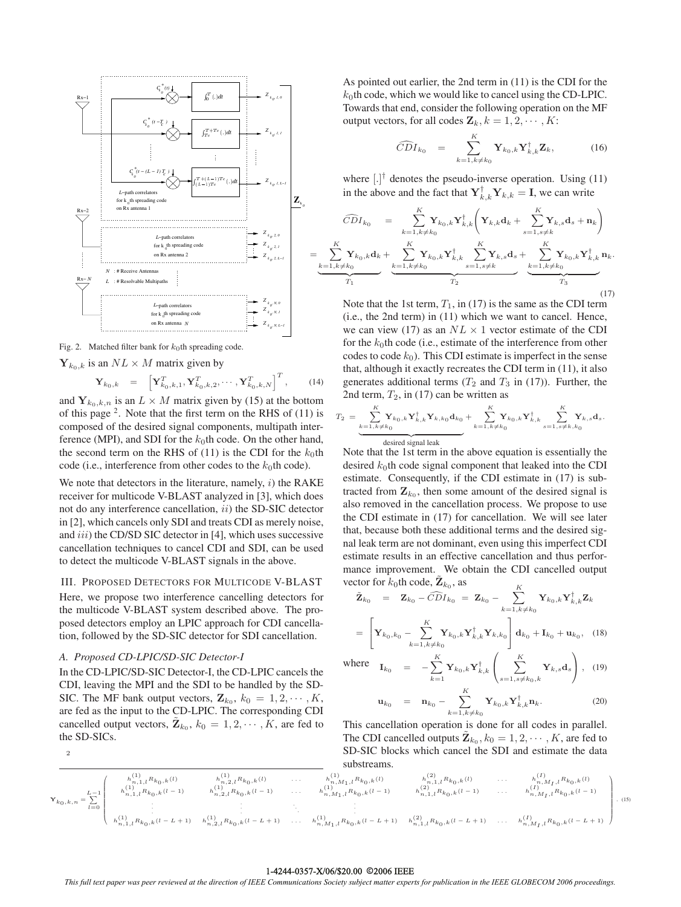



 $\mathbf{Y}_{k_0,k}$  is an  $NL \times M$  matrix given by

$$
\mathbf{Y}_{k_0,k} = \left[ \mathbf{Y}_{k_0,k,1}^T, \mathbf{Y}_{k_0,k,2}^T, \cdots, \mathbf{Y}_{k_0,k,N}^T \right]^T, \quad (14)
$$

and  $Y_{k_0,k,n}$  is an  $L \times M$  matrix given by (15) at the bottom of this page  $2$ . Note that the first term on the RHS of (11) is composed of the desired signal components, multipath interference (MPI), and SDI for the  $k_0$ th code. On the other hand, the second term on the RHS of (11) is the CDI for the  $k_0$ th code (i.e., interference from other codes to the  $k_0$ th code).

We note that detectors in the literature, namely,  $i$ ) the RAKE receiver for multicode V-BLAST analyzed in [3], which does not do any interference cancellation, ii) the SD-SIC detector in [2], which cancels only SDI and treats CDI as merely noise, and  $iii$ ) the CD/SD SIC detector in [4], which uses successive cancellation techniques to cancel CDI and SDI, can be used to detect the multicode V-BLAST signals in the above.

III. PROPOSED DETECTORS FOR MULTICODE V-BLAST Here, we propose two interference cancelling detectors for the multicode V-BLAST system described above. The proposed detectors employ an LPIC approach for CDI cancellation, followed by the SD-SIC detector for SDI cancellation.

## *A. Proposed CD-LPIC/SD-SIC Detector-I*

2

In the CD-LPIC/SD-SIC Detector-I, the CD-LPIC cancels the CDI, leaving the MPI and the SDI to be handled by the SD-SIC. The MF bank output vectors,  $\mathbf{Z}_{k_0}$ ,  $k_0 = 1, 2, \cdots, K$ , are fed as the input to the CD-LPIC. The corresponding CDI cancelled output vectors,  $\mathbf{Z}_{k_0}$ ,  $k_0 = 1, 2, \cdots, K$ , are fed to the SD-SICs.

As pointed out earlier, the 2nd term in (11) is the CDI for the  $k_0$ th code, which we would like to cancel using the CD-LPIC. Towards that end, consider the following operation on the MF output vectors, for all codes  $\mathbf{Z}_k$ ,  $k = 1, 2, \cdots, K$ :

$$
\widehat{CDI}_{k_0} = \sum_{k=1, k \neq k_0}^{K} \mathbf{Y}_{k_0, k} \mathbf{Y}_{k, k}^{\dagger} \mathbf{Z}_k, \qquad (16)
$$

where  $[.]^{\dagger}$  denotes the pseudo-inverse operation. Using (11) in the above and the fact that  $\mathbf{Y}_{k,k}^{\dagger} \mathbf{Y}_{k,k} = \mathbf{I}$ , we can write

$$
\widehat{CDI}_{k_0} = \sum_{k=1, k \neq k_0}^{K} \mathbf{Y}_{k_0, k} \mathbf{Y}_{k, k}^{\dagger} \left( \mathbf{Y}_{k, k} \mathbf{d}_k + \sum_{s=1, s \neq k}^{K} \mathbf{Y}_{k, s} \mathbf{d}_s + \mathbf{n}_k \right)
$$
\n
$$
= \sum_{k=1, k \neq k_0}^{K} \mathbf{Y}_{k_0, k} \mathbf{d}_k + \sum_{k=1, k \neq k_0}^{K} \mathbf{Y}_{k_0, k} \mathbf{Y}_{k, k}^{\dagger} \sum_{s=1, s \neq k}^{K} \mathbf{Y}_{k, s} \mathbf{d}_s + \sum_{k=1, k \neq k_0}^{K} \mathbf{Y}_{k_0, k} \mathbf{Y}_{k, k}^{\dagger} \mathbf{n}_k.
$$
\n
$$
\underbrace{T_1} \qquad \qquad \underbrace{T_2} \qquad \qquad \qquad \qquad \text{(17)}
$$

Note that the 1st term,  $T_1$ , in (17) is the same as the CDI term (i.e., the 2nd term) in (11) which we want to cancel. Hence, we can view (17) as an  $NL \times 1$  vector estimate of the CDI for the  $k_0$ th code (i.e., estimate of the interference from other codes to code  $k_0$ ). This CDI estimate is imperfect in the sense that, although it exactly recreates the CDI term in (11), it also generates additional terms  $(T_2$  and  $T_3$  in (17)). Further, the 2nd term,  $T_2$ , in (17) can be written as

$$
T_2 = \underbrace{\sum_{k=1, k \neq k_0}^{K} \mathbf{Y}_{k_0, k} \mathbf{Y}_{k, k}^{\dagger} \mathbf{Y}_{k, k_0} \mathbf{d}_{k_0}}_{\text{desired signal leak}} + \underbrace{\sum_{k=1, k \neq k_0}^{K} \mathbf{Y}_{k_0, k} \mathbf{Y}_{k, k}^{\dagger}}_{k=1, s \neq k, k_0} \sum_{s=1, s \neq k, k_0}^{K} \mathbf{Y}_{k, s} \mathbf{d}_{s}.
$$

Note that the 1st term in the above equation is essentially the desired  $k_0$ th code signal component that leaked into the CDI estimate. Consequently, if the CDI estimate in (17) is subtracted from  $\mathbf{Z}_{k_0}$ , then some amount of the desired signal is also removed in the cancellation process. We propose to use the CDI estimate in (17) for cancellation. We will see later that, because both these additional terms and the desired signal leak term are not dominant, even using this imperfect CDI estimate results in an effective cancellation and thus performance improvement. We obtain the CDI cancelled output vector for  $k_0$ th code,  $\tilde{\mathbf{Z}}_{k_0}$ , as

$$
\tilde{\mathbf{Z}}_{k_0} = \mathbf{Z}_{k_0} - \widehat{CDI}_{k_0} = \mathbf{Z}_{k_0} - \sum_{k=1, k \neq k_0}^{K} \mathbf{Y}_{k_0, k} \mathbf{Y}_{k, k}^{\dagger} \mathbf{Z}_{k}
$$
\n
$$
= \left[ \mathbf{Y}_{k_0, k_0} - \sum_{k=1, k \neq k_0}^{K} \mathbf{Y}_{k_0, k} \mathbf{Y}_{k, k}^{\dagger} \mathbf{Y}_{k, k_0} \right] \mathbf{d}_{k_0} + \mathbf{I}_{k_0} + \mathbf{u}_{k_0}, \quad (18)
$$

where 
$$
\mathbf{I}_{k_0} = -\sum_{k=1}^K \mathbf{Y}_{k_0,k} \mathbf{Y}_{k,k}^{\dagger} \left( \sum_{s=1, s \neq k_0, k}^K \mathbf{Y}_{k,s} \mathbf{d}_s \right), \quad (19)
$$

$$
\mathbf{u}_{k_0} = \mathbf{n}_{k_0} - \sum_{k=1, k \neq k_0}^{K} \mathbf{Y}_{k_0, k} \mathbf{Y}_{k, k}^{\dagger} \mathbf{n}_k. \tag{20}
$$

This cancellation operation is done for all codes in parallel. The CDI cancelled outputs  $\mathbf{Z}_{k_0}, k_0 = 1, 2, \cdots, K$ , are fed to SD-SIC blocks which cancel the SDI and estimate the data substreams.

**<sup>Y</sup>***k*0*,k,n* <sup>=</sup> *L*−<sup>1</sup> *l*=0 *<sup>h</sup>*(1) *n,*1*,lRk*0*,k*(*l*) *<sup>h</sup>*(1) *n,*2*,lRk*0*,k*(*l*) *... h*(1) *n,M*1*,lRk*0*,k*(*l*) *<sup>h</sup>*(2) *n,*1*,lRk*0*,k*(*l*) *... h*(*I*) *n,MI ,lRk*0*,k*(*l*) *<sup>h</sup>*(1) *n,*1*,lRk*0*,k*(*<sup>l</sup>* <sup>−</sup> 1) *<sup>h</sup>*(1) *n,*2*,lRk*0*,k*(*<sup>l</sup>* <sup>−</sup> 1) *... h*(1) *n,M*1*,lRk*0*,k*(*<sup>l</sup>* <sup>−</sup> 1) *<sup>h</sup>*(2) *n,*1*,lRk*0*,k*(*<sup>l</sup>* <sup>−</sup> 1) *... h*(*I*) *n,MI ,lRk*0*,k*(*<sup>l</sup>* <sup>−</sup> 1) . *<sup>h</sup>*(1) *n,*1*,lRk*0*,k*(*<sup>l</sup>* <sup>−</sup> *<sup>L</sup>* + 1) *<sup>h</sup>*(1) *n,*2*,lRk*0*,k*(*<sup>l</sup>* <sup>−</sup> *<sup>L</sup>* + 1) *... h*(1) *n,M*1*,lRk*0*,k*(*<sup>l</sup>* <sup>−</sup> *<sup>L</sup>* + 1) *<sup>h</sup>*(2) *n,*1*,lRk*0*,k*(*<sup>l</sup>* <sup>−</sup> *<sup>L</sup>* + 1) *... h*(*I*) *n,MI ,lRk*0*,k*(*<sup>l</sup>* <sup>−</sup> *<sup>L</sup>* + 1) *.* (15)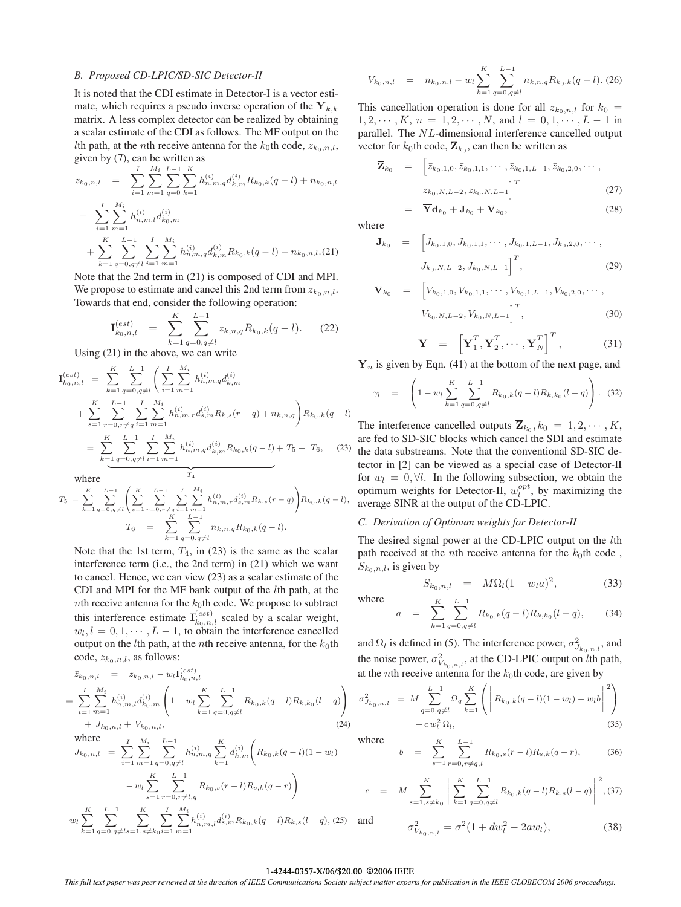# *B. Proposed CD-LPIC/SD-SIC Detector-II*

It is noted that the CDI estimate in Detector-I is a vector estimate, which requires a pseudo inverse operation of the  $Y_{k,k}$ matrix. A less complex detector can be realized by obtaining a scalar estimate of the CDI as follows. The MF output on the *lth* path, at the *nth* receive antenna for the  $k_0$ th code,  $z_{k_0,n,l}$ , given by (7), can be written as

$$
z_{k_0,n,l} = \sum_{i=1}^{I} \sum_{m=1}^{M_i} \sum_{q=0}^{L-1} \sum_{k=1}^{K} h_{n,m,q}^{(i)} d_{k,m}^{(i)} R_{k_0,k}(q-l) + n_{k_0,n,l}
$$
  

$$
= \sum_{i=1}^{I} \sum_{m=1}^{M_i} h_{n,m,l}^{(i)} d_{k_0,m}^{(i)}
$$
  

$$
+ \sum_{k=1}^{K} \sum_{q=0, q \neq l}^{L-1} \sum_{i=1}^{I} \sum_{m=1}^{M_i} h_{n,m,q}^{(i)} d_{k,m}^{(i)} R_{k_0,k}(q-l) + n_{k_0,n,l}.
$$
 (21)

Note that the 2nd term in (21) is composed of CDI and MPI. We propose to estimate and cancel this 2nd term from  $z_{k_0,n,l}$ . Towards that end, consider the following operation:

$$
\mathbf{I}_{k_0,n,l}^{(est)} = \sum_{k=1}^{K} \sum_{q=0,q \neq l}^{L-1} z_{k,n,q} R_{k_0,k}(q-l). \tag{22}
$$

Using (21) in the above, we can write

$$
\mathbf{I}_{k_0,n,l}^{(est)} = \sum_{k=1}^{K} \sum_{q=0,q\neq l}^{L-1} \left( \sum_{i=1}^{I} \sum_{m=1}^{M_i} h_{n,m,q}^{(i)} d_{k,m}^{(i)} \right. \\
\left. + \sum_{s=1}^{K} \sum_{r=0,r\neq q}^{L-1} \sum_{i=1}^{I} \sum_{m=1}^{M_i} h_{n,m,r}^{(i)} d_{s,m}^{(i)} R_{k,s}(r-q) + n_{k,n,q} \right) R_{k_0,k}(q-l) \\
= \sum_{k=1}^{K} \sum_{q=0,q\neq l}^{L-1} \sum_{i=1}^{I} \sum_{m=1}^{M_i} h_{n,m,q}^{(i)} d_{k,m}^{(i)} R_{k_0,k}(q-l) + T_5 + T_6, \quad (23)
$$

where

$$
T_5 = \sum_{k=1}^K \sum_{q=0, q \neq l}^{L-1} \left( \sum_{s=1}^K \sum_{r=0, r \neq q}^{L-1} \sum_{i=1}^I \sum_{m=1}^{M_i} h_{n,m,r}^{(i)} d_{s,m}^{(i)} R_{k,s}(r-q) \right) R_{k_0, k}(q-l),
$$
  

$$
T_6 = \sum_{k=1}^K \sum_{q=0, q \neq l}^{L-1} n_{k,n,q} R_{k_0, k}(q-l).
$$

Note that the 1st term,  $T_4$ , in (23) is the same as the scalar interference term (i.e., the 2nd term) in (21) which we want to cancel. Hence, we can view (23) as a scalar estimate of the CDI and MPI for the MF bank output of the lth path, at the nth receive antenna for the  $k_0$ th code. We propose to subtract this interference estimate  $\mathbf{I}_{k_0,n,l}^{(est)}$  scaled by a scalar weight,  $w_l, l = 0, 1, \dots, L - 1$ , to obtain the interference cancelled output on the *l*th path, at the *n*th receive antenna, for the  $k_0$ th code,  $\bar{z}_{k_0,n,l}$ , as follows:

$$
\bar{z}_{k_0,n,l} = z_{k_0,n,l} - w_l \mathbf{I}_{k_0,n,l}^{(est)}
$$
\n
$$
= \sum_{i=1}^{I} \sum_{m=1}^{M_i} h_{n,m,l}^{(i)} d_{k_0,m}^{(i)} \left( 1 - w_l \sum_{k=1}^{K} \sum_{q=0,q \neq l}^{L-1} R_{k_0,k}(q-l) R_{k,k_0}(l-q) \right)
$$
\n
$$
+ J_{k_0,n,l} + V_{k_0,n,l}, \qquad (24)
$$

(*est*)

where  
\n
$$
J_{k_0,n,l} = \sum_{i=1}^{I} \sum_{m=1}^{M_i} \sum_{q=0,q\neq l}^{L-1} h_{n,m,q}^{(i)} \sum_{k=1}^{K} d_{k,m}^{(i)} \left( R_{k_0,k}(q-l)(1-w_l) - w_l \sum_{s=1}^{K} \sum_{r=0,r\neq l,q}^{L-1} R_{k_0,s}(r-l) R_{s,k}(q-r) \right)
$$

$$
- w_l \sum_{k=1}^{K} \sum_{q=0,q \neq ls=1, s \neq k_0}^{L-1} \sum_{i=1}^{K} \sum_{m=1}^{I} \sum_{m=1}^{M_i} h_{n,m,l}^{(i)} d_{s,m}^{(i)} R_{k_0,k}(q-l) R_{k,s}(l-q), (25) \text{ and}
$$

$$
V_{k_0,n,l} = n_{k_0,n,l} - w_l \sum_{k=1}^{K} \sum_{q=0,q \neq l}^{L-1} n_{k,n,q} R_{k_0,k}(q-l). (26)
$$

This cancellation operation is done for all  $z_{k_0,n,l}$  for  $k_0 =$  $1, 2, \cdots, K, n = 1, 2, \cdots, N$ , and  $l = 0, 1, \cdots, L - 1$  in parallel. The NL-dimensional interference cancelled output vector for  $k_0$ th code,  $\overline{\mathbf{Z}}_{k_0}$ , can then be written as

$$
\overline{\mathbf{Z}}_{k_0} = \begin{bmatrix} \overline{z}_{k_0,1,0}, \overline{z}_{k_0,1,1}, \cdots, \overline{z}_{k_0,1,L-1}, \overline{z}_{k_0,2,0}, \cdots, \\ \overline{z}_{k_0,N,L-2}, \overline{z}_{k_0,N,L-1} \end{bmatrix}^T
$$
\n
$$
= \overline{\mathbf{Y}} \mathbf{d}_{k_0} + \mathbf{J}_{k_0} + \mathbf{V}_{k_0},
$$
\n(27)

where

$$
\mathbf{J}_{k_0} = \left[ J_{k_0,1,0}, J_{k_0,1,1}, \cdots, J_{k_0,1,L-1}, J_{k_0,2,0}, \cdots, J_{k_0,N,L-2}, J_{k_0,N,L-1} \right]^T, \tag{29}
$$

$$
\mathbf{V}_{k_0} = \begin{bmatrix} V_{k_0,1,0}, V_{k_0,1,1}, \cdots, V_{k_0,1,L-1}, V_{k_0,2,0}, \cdots, \\ V_{k_0,N,L-2}, V_{k_0,N,L-1} \end{bmatrix}^T, \tag{30}
$$

$$
\overline{\mathbf{Y}} = \left[ \overline{\mathbf{Y}}_1^T, \overline{\mathbf{Y}}_2^T, \cdots, \overline{\mathbf{Y}}_N^T \right]^T, \tag{31}
$$

 $\overline{Y}_n$  is given by Eqn. (41) at the bottom of the next page, and

$$
\gamma_l = \left(1 - w_l \sum_{k=1}^K \sum_{q=0, q \neq l}^{L-1} R_{k_0, k}(q-l) R_{k, k_0}(l-q)\right). \tag{32}
$$

The interference cancelled outputs  $\overline{\mathbf{Z}}_{k_0}, k_0 = 1, 2, \cdots, K$ , are fed to SD-SIC blocks which cancel the SDI and estimate the data substreams. Note that the conventional SD-SIC detector in [2] can be viewed as a special case of Detector-II for  $w_l = 0, \forall l$ . In the following subsection, we obtain the optimum weights for Detector-II,  $w_l^{opt}$ , by maximizing the average SINR at the output of the CD-LPIC.

## *C. Derivation of Optimum weights for Detector-II*

The desired signal power at the CD-LPIC output on the lth path received at the *n*th receive antenna for the  $k_0$ th code,  $S_{k_0,n,l}$ , is given by

$$
S_{k_0,n,l} = M\Omega_l (1 - w_l a)^2, \qquad (33)
$$

where

where

$$
a = \sum_{k=1}^{K} \sum_{q=0, q \neq l}^{L-1} R_{k_0, k}(q-l) R_{k, k_0}(l-q), \qquad (34)
$$

and  $\Omega_l$  is defined in (5). The interference power,  $\sigma_{J_{k_0,n,l}}^2$ , and the noise power,  $\sigma_{V_{k_0,n,l}}^2$ , at the CD-LPIC output on *l*th path, at the *n*th receive antenna for the  $k_0$ th code, are given by

$$
\sigma_{J_{k_0,n,l}}^2 = M \sum_{q=0,q\neq l}^{L-1} \Omega_q \sum_{k=1}^K \left( \left| R_{k_0,k}(q-l)(1-w_l) - w_l b \right|^2 \right) + c w_l^2 \Omega_l,
$$
\n(35)

$$
b = \sum_{s=1}^{K} \sum_{r=0, r \neq q, l}^{L-1} R_{k_0, s}(r-l) R_{s, k}(q-r),
$$
 (36)

$$
c = M \sum_{s=1, s \neq k_0}^{K} \left| \sum_{k=1}^{K} \sum_{q=0, q \neq l}^{L-1} R_{k_0, k}(q-l) R_{k, s}(l-q) \right|^2, (37)
$$

$$
\sigma_{V_{k_0,n,l}}^2 = \sigma^2 (1 + dw_l^2 - 2aw_l),\tag{38}
$$